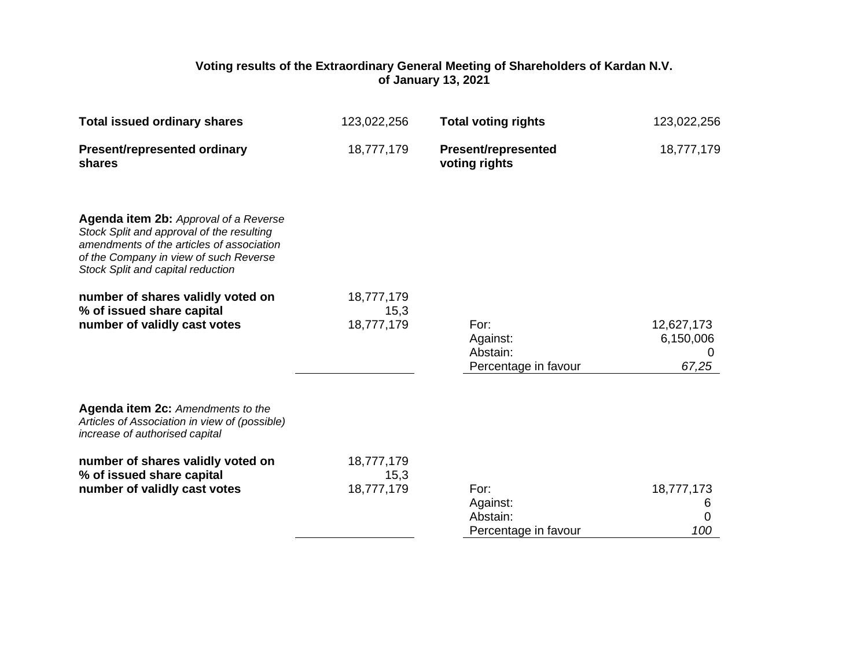## **Voting results of the Extraordinary General Meeting of Shareholders of Kardan N.V. of January 13, 2021**

| <b>Total issued ordinary shares</b>                                                                                                                                                                                   | 123,022,256                      | <b>Total voting rights</b>                           | 123,022,256                           |
|-----------------------------------------------------------------------------------------------------------------------------------------------------------------------------------------------------------------------|----------------------------------|------------------------------------------------------|---------------------------------------|
| <b>Present/represented ordinary</b><br>shares                                                                                                                                                                         | 18,777,179                       | <b>Present/represented</b><br>voting rights          | 18,777,179                            |
| <b>Agenda item 2b:</b> Approval of a Reverse<br>Stock Split and approval of the resulting<br>amendments of the articles of association<br>of the Company in view of such Reverse<br>Stock Split and capital reduction |                                  |                                                      |                                       |
| number of shares validly voted on<br>% of issued share capital<br>number of validly cast votes                                                                                                                        | 18,777,179<br>15,3<br>18,777,179 | For:<br>Against:<br>Abstain:<br>Percentage in favour | 12,627,173<br>6,150,006<br>0<br>67,25 |
| Agenda item 2c: Amendments to the<br>Articles of Association in view of (possible)<br>increase of authorised capital                                                                                                  |                                  |                                                      |                                       |
| number of shares validly voted on<br>% of issued share capital<br>number of validly cast votes                                                                                                                        | 18,777,179<br>15,3<br>18,777,179 | For:<br>Against:<br>Abstain:<br>Percentage in favour | 18,777,173<br>6<br>0<br>100           |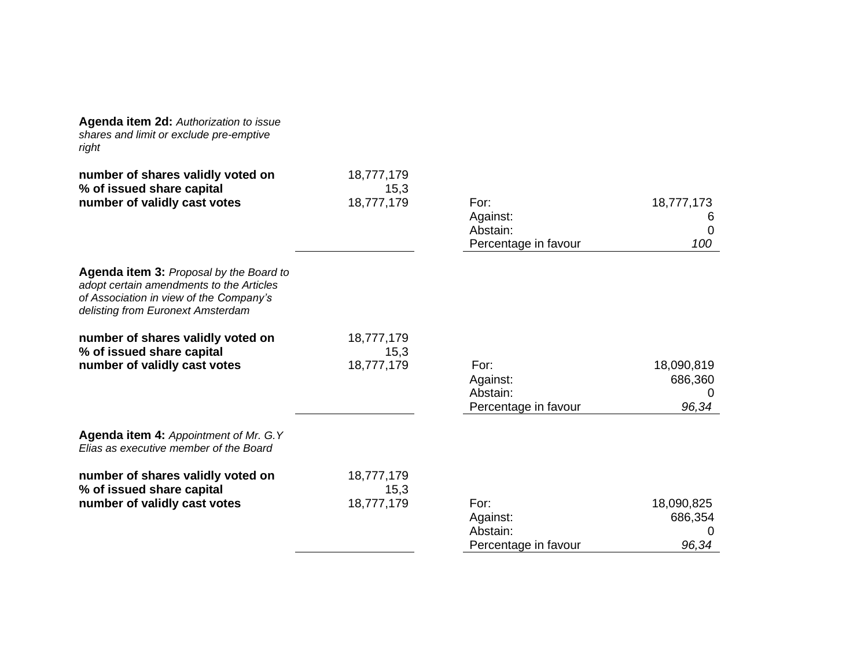| Agenda item 2d: Authorization to issue  |
|-----------------------------------------|
| shares and limit or exclude pre-emptive |
| right                                   |

| number of shares validly voted on                                                                                                                                   | 18,777,179         |                      |            |
|---------------------------------------------------------------------------------------------------------------------------------------------------------------------|--------------------|----------------------|------------|
| % of issued share capital<br>number of validly cast votes                                                                                                           | 15,3<br>18,777,179 | For:                 | 18,777,173 |
|                                                                                                                                                                     |                    | Against:             | 6          |
|                                                                                                                                                                     |                    | Abstain:             | 0          |
|                                                                                                                                                                     |                    | Percentage in favour | 100        |
| Agenda item 3: Proposal by the Board to<br>adopt certain amendments to the Articles<br>of Association in view of the Company's<br>delisting from Euronext Amsterdam |                    |                      |            |
| number of shares validly voted on                                                                                                                                   | 18,777,179         |                      |            |
| % of issued share capital                                                                                                                                           | 15,3               |                      |            |
| number of validly cast votes                                                                                                                                        | 18,777,179         | For:                 | 18,090,819 |
|                                                                                                                                                                     |                    | Against:             | 686,360    |
|                                                                                                                                                                     |                    | Abstain:             | O          |
|                                                                                                                                                                     |                    | Percentage in favour | 96,34      |
| Agenda item 4: Appointment of Mr. G.Y<br>Elias as executive member of the Board                                                                                     |                    |                      |            |
| number of shares validly voted on                                                                                                                                   | 18,777,179         |                      |            |
| % of issued share capital                                                                                                                                           | 15,3               |                      |            |
| number of validly cast votes                                                                                                                                        | 18,777,179         | For:                 | 18,090,825 |
|                                                                                                                                                                     |                    | Against:             | 686,354    |
|                                                                                                                                                                     |                    | Abstain:             |            |
|                                                                                                                                                                     |                    | Percentage in favour | 96,34      |